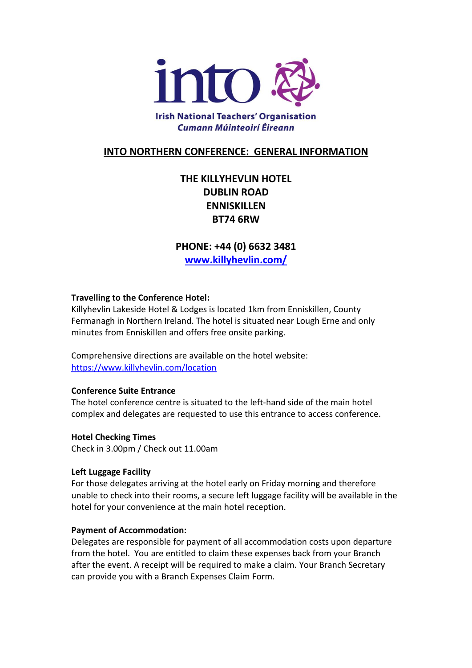

## **INTO NORTHERN CONFERENCE: GENERAL INFORMATION**

# **THE KILLYHEVLIN HOTEL DUBLIN ROAD ENNISKILLEN BT74 6RW**

**PHONE: +44 (0) 6632 3481 [www.killyhevlin.com/](http://www.killyhevlin.com/)**

## **Travelling to the Conference Hotel:**

Killyhevlin Lakeside Hotel & Lodges is located 1km from Enniskillen, County Fermanagh in Northern Ireland. The hotel is situated near Lough Erne and only minutes from Enniskillen and offers free onsite parking.

Comprehensive directions are available on the hotel website: <https://www.killyhevlin.com/location>

## **Conference Suite Entrance**

The hotel conference centre is situated to the left-hand side of the main hotel complex and delegates are requested to use this entrance to access conference.

## **Hotel Checking Times**

Check in 3.00pm / Check out 11.00am

## **Left Luggage Facility**

For those delegates arriving at the hotel early on Friday morning and therefore unable to check into their rooms, a secure left luggage facility will be available in the hotel for your convenience at the main hotel reception.

#### **Payment of Accommodation:**

Delegates are responsible for payment of all accommodation costs upon departure from the hotel. You are entitled to claim these expenses back from your Branch after the event. A receipt will be required to make a claim. Your Branch Secretary can provide you with a Branch Expenses Claim Form.